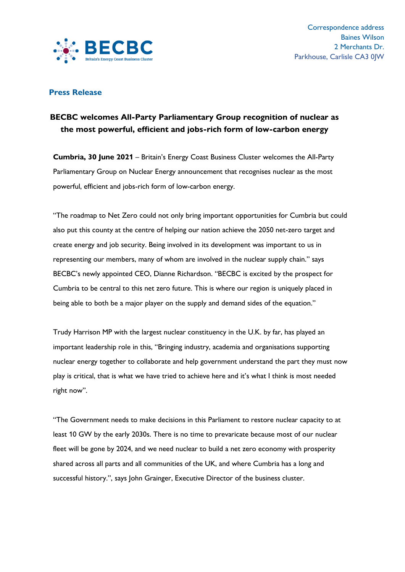

## **Press Release**

## **BECBC welcomes All-Party Parliamentary Group recognition of nuclear as the most powerful, efficient and jobs-rich form of low-carbon energy**

**Cumbria, 30 June 2021** – Britain's Energy Coast Business Cluster welcomes the All-Party Parliamentary Group on Nuclear Energy announcement that recognises nuclear as the most powerful, efficient and jobs-rich form of low-carbon energy.

"The roadmap to Net Zero could not only bring important opportunities for Cumbria but could also put this county at the centre of helping our nation achieve the 2050 net-zero target and create energy and job security. Being involved in its development was important to us in representing our members, many of whom are involved in the nuclear supply chain." says BECBC's newly appointed CEO, Dianne Richardson. "BECBC is excited by the prospect for Cumbria to be central to this net zero future. This is where our region is uniquely placed in being able to both be a major player on the supply and demand sides of the equation."

Trudy Harrison MP with the largest nuclear constituency in the U.K. by far, has played an important leadership role in this, "Bringing industry, academia and organisations supporting nuclear energy together to collaborate and help government understand the part they must now play is critical, that is what we have tried to achieve here and it's what I think is most needed right now".

"The Government needs to make decisions in this Parliament to restore nuclear capacity to at least 10 GW by the early 2030s. There is no time to prevaricate because most of our nuclear fleet will be gone by 2024, and we need nuclear to build a net zero economy with prosperity shared across all parts and all communities of the UK, and where Cumbria has a long and successful history.", says John Grainger, Executive Director of the business cluster.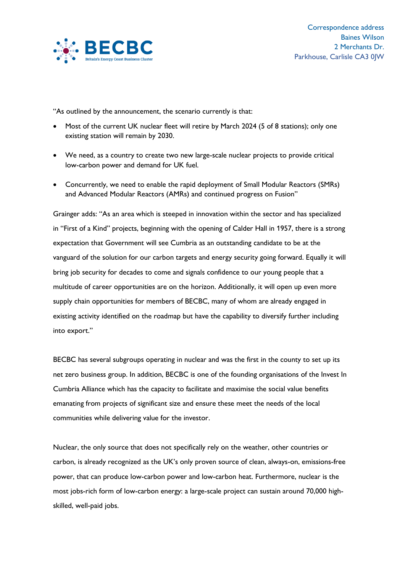

"As outlined by the announcement, the scenario currently is that:

- Most of the current UK nuclear fleet will retire by March 2024 (5 of 8 stations); only one existing station will remain by 2030.
- We need, as a country to create two new large-scale nuclear projects to provide critical low-carbon power and demand for UK fuel.
- Concurrently, we need to enable the rapid deployment of Small Modular Reactors (SMRs) and Advanced Modular Reactors (AMRs) and continued progress on Fusion"

Grainger adds: "As an area which is steeped in innovation within the sector and has specialized in "First of a Kind" projects, beginning with the opening of Calder Hall in 1957, there is a strong expectation that Government will see Cumbria as an outstanding candidate to be at the vanguard of the solution for our carbon targets and energy security going forward. Equally it will bring job security for decades to come and signals confidence to our young people that a multitude of career opportunities are on the horizon. Additionally, it will open up even more supply chain opportunities for members of BECBC, many of whom are already engaged in existing activity identified on the roadmap but have the capability to diversify further including into export."

BECBC has several subgroups operating in nuclear and was the first in the county to set up its net zero business group. In addition, BECBC is one of the founding organisations of the Invest In Cumbria Alliance which has the capacity to facilitate and maximise the social value benefits emanating from projects of significant size and ensure these meet the needs of the local communities while delivering value for the investor.

Nuclear, the only source that does not specifically rely on the weather, other countries or carbon, is already recognized as the UK's only proven source of clean, always-on, emissions-free power, that can produce low-carbon power and low-carbon heat. Furthermore, nuclear is the most jobs-rich form of low-carbon energy: a large-scale project can sustain around 70,000 highskilled, well-paid jobs.